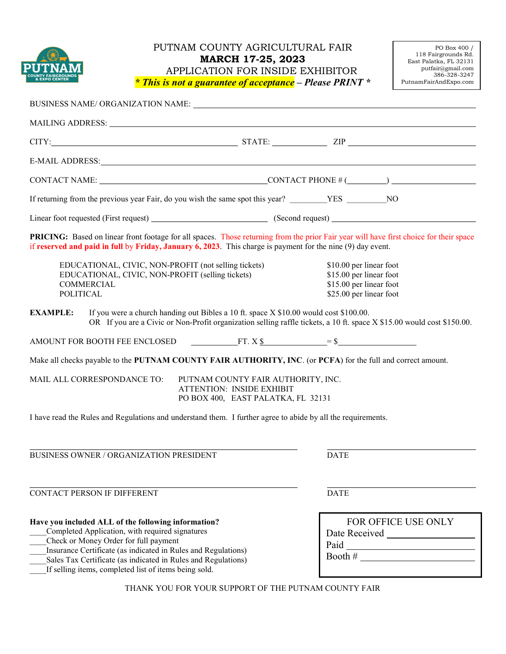

### PUTNAM COUNTY AGRICULTURAL FAIR MARCH 17-25, 2023 APPLICATION FOR INSIDE EXHIBITOR  $*$  This is not a guarantee of acceptance – Please PRINT  $*$

| BUSINESS NAME/ORGANIZATION NAME:                                                                                                                                                                                                                                                                                                                               |                                                                                                              |                                                                                                          |                                                |  |
|----------------------------------------------------------------------------------------------------------------------------------------------------------------------------------------------------------------------------------------------------------------------------------------------------------------------------------------------------------------|--------------------------------------------------------------------------------------------------------------|----------------------------------------------------------------------------------------------------------|------------------------------------------------|--|
| MAILING ADDRESS: University of the contract of the contract of the contract of the contract of the contract of the contract of the contract of the contract of the contract of the contract of the contract of the contract of                                                                                                                                 |                                                                                                              |                                                                                                          |                                                |  |
|                                                                                                                                                                                                                                                                                                                                                                |                                                                                                              |                                                                                                          |                                                |  |
| E-MAIL ADDRESS: North and the Mail Address of the Mail Address of the Mail Address of the Mail Address of the Mail Address of the Mail Address of the Mail Address of the Mail Address of the Mail Address of the Mail Address                                                                                                                                 |                                                                                                              |                                                                                                          |                                                |  |
| CONTACT NAME: $\_\_\_\_\_$ CONTACT PHONE # $(\_\_\_\_\_\_\_\_\_$                                                                                                                                                                                                                                                                                               |                                                                                                              |                                                                                                          |                                                |  |
|                                                                                                                                                                                                                                                                                                                                                                |                                                                                                              |                                                                                                          |                                                |  |
|                                                                                                                                                                                                                                                                                                                                                                |                                                                                                              |                                                                                                          |                                                |  |
| PRICING: Based on linear front footage for all spaces. Those returning from the prior Fair year will have first choice for their space<br>if reserved and paid in full by Friday, January $6, 2023$ . This charge is payment for the nine $(9)$ day event.                                                                                                     |                                                                                                              |                                                                                                          |                                                |  |
| EDUCATIONAL, CIVIC, NON-PROFIT (not selling tickets)<br>EDUCATIONAL, CIVIC, NON-PROFIT (selling tickets)<br>COMMERCIAL<br><b>POLITICAL</b>                                                                                                                                                                                                                     |                                                                                                              | \$10.00 per linear foot<br>\$15.00 per linear foot<br>\$15.00 per linear foot<br>\$25.00 per linear foot |                                                |  |
| <b>EXAMPLE:</b><br>If you were a church handing out Bibles a 10 ft. space X \$10.00 would cost \$100.00.<br>OR If you are a Civic or Non-Profit organization selling raffle tickets, a 10 ft. space X \$15.00 would cost \$150.00.                                                                                                                             |                                                                                                              |                                                                                                          |                                                |  |
| AMOUNT FOR BOOTH FEE ENCLOSED $\overline{r}$ $\overline{r}$ . $X$ \$ $\overline{r}$ $\overline{r}$ $\overline{r}$ $\overline{r}$ $\overline{r}$ $\overline{r}$ $\overline{r}$ $\overline{r}$ $\overline{r}$ $\overline{r}$ $\overline{r}$ $\overline{r}$ $\overline{r}$ $\overline{r}$ $\overline{r}$ $\overline{r}$ $\overline{r}$ $\overline{r}$ $\overline$ |                                                                                                              |                                                                                                          |                                                |  |
| Make all checks payable to the PUTNAM COUNTY FAIR AUTHORITY, INC. (or PCFA) for the full and correct amount.                                                                                                                                                                                                                                                   |                                                                                                              |                                                                                                          |                                                |  |
| MAIL ALL CORRESPONDANCE TO:                                                                                                                                                                                                                                                                                                                                    | PUTNAM COUNTY FAIR AUTHORITY, INC.<br><b>ATTENTION: INSIDE EXHIBIT</b><br>PO BOX 400, EAST PALATKA, FL 32131 |                                                                                                          |                                                |  |
| I have read the Rules and Regulations and understand them. I further agree to abide by all the requirements.                                                                                                                                                                                                                                                   |                                                                                                              |                                                                                                          |                                                |  |
| <b>BUSINESS OWNER / ORGANIZATION PRESIDENT</b>                                                                                                                                                                                                                                                                                                                 |                                                                                                              | <b>DATE</b>                                                                                              |                                                |  |
| CONTACT PERSON IF DIFFERENT                                                                                                                                                                                                                                                                                                                                    |                                                                                                              | <b>DATE</b>                                                                                              |                                                |  |
| Have you included ALL of the following information?<br>Completed Application, with required signatures<br>Check or Money Order for full payment<br>Insurance Certificate (as indicated in Rules and Regulations)<br>Sales Tax Certificate (as indicated in Rules and Regulations)<br>If selling items, completed list of items being sold.                     |                                                                                                              |                                                                                                          | FOR OFFICE USE ONLY<br>Booth # $\qquad \qquad$ |  |
| THANK YOU FOR YOUR SUPPORT OF THE PUTNAM COUNTY FAIR                                                                                                                                                                                                                                                                                                           |                                                                                                              |                                                                                                          |                                                |  |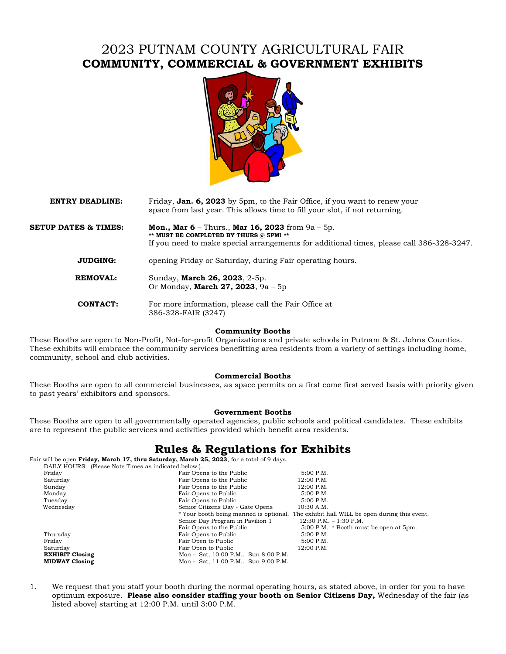# 2023 PUTNAM COUNTY AGRICULTURAL FAIR COMMUNITY, COMMERCIAL & GOVERNMENT EXHIBITS



#### **ENTRY DEADLINE:** Friday, **Jan. 6, 2023** by 5pm, to the Fair Office, if you want to renew your space from last year. This allows time to fill your slot, if not returning.

**SETUP DATES & TIMES:** Mon., Mar  $6$  – Thurs., Mar  $16$ , 2023 from  $9a$  – 5p. \*\* MUST BE COMPLETED BY THURS @ 5PM! \*\* If you need to make special arrangements for additional times, please call 386-328-3247.

**JUDGING:** opening Friday or Saturday, during Fair operating hours.

**REMOVAL:** Sunday, **March 26, 2023**, 2-5p. Or Monday, March 27, 2023, 9a – 5p

 CONTACT: For more information, please call the Fair Office at 386-328-FAIR (3247)

#### Community Booths

These Booths are open to Non-Profit, Not-for-profit Organizations and private schools in Putnam & St. Johns Counties. These exhibits will embrace the community services benefitting area residents from a variety of settings including home, community, school and club activities.

#### Commercial Booths

These Booths are open to all commercial businesses, as space permits on a first come first served basis with priority given to past years' exhibitors and sponsors.

#### Government Booths

These Booths are open to all governmentally operated agencies, public schools and political candidates. These exhibits are to represent the public services and activities provided which benefit area residents.

### Rules & Regulations for Exhibits

Fair will be open Friday, March 17, thru Saturday, March 25, 2023, for a total of 9 days.

| DAILY HOURS: (Please Note Times as indicated below.). |                                      |                                                                                         |
|-------------------------------------------------------|--------------------------------------|-----------------------------------------------------------------------------------------|
| Friday                                                | Fair Opens to the Public             | $5:00$ P.M.                                                                             |
| Saturday                                              | Fair Opens to the Public             | 12:00 P.M.                                                                              |
| Sunday                                                | Fair Opens to the Public             | 12:00 P.M.                                                                              |
| Monday                                                | Fair Opens to Public                 | 5:00 P.M.                                                                               |
| Tuesday                                               | Fair Opens to Public                 | $5:00$ P.M.                                                                             |
| Wednesday                                             | Senior Citizens Day - Gate Opens     | $10:30$ A.M.                                                                            |
|                                                       |                                      | * Your booth being manned is optional. The exhibit hall WILL be open during this event. |
|                                                       | Senior Day Program in Pavilion 1     | $12:30$ P.M. $-1:30$ P.M.                                                               |
|                                                       | Fair Opens to the Public             | 5:00 P.M. * Booth must be open at 5pm.                                                  |
| Thursday                                              | Fair Opens to Public                 | $5:00$ P.M.                                                                             |
| Friday                                                | Fair Open to Public                  | $5:00$ P.M.                                                                             |
| Saturday                                              | Fair Open to Public                  | 12:00 P.M.                                                                              |
| <b>EXHIBIT Closing</b>                                | Mon - Sat, 10:00 P.M., Sun 8:00 P.M. |                                                                                         |
| <b>MIDWAY Closing</b>                                 | Mon - Sat, 11:00 P.M Sun 9:00 P.M.   |                                                                                         |

1. We request that you staff your booth during the normal operating hours, as stated above, in order for you to have optimum exposure. Please also consider staffing your booth on Senior Citizens Day, Wednesday of the fair (as listed above) starting at 12:00 P.M. until 3:00 P.M.